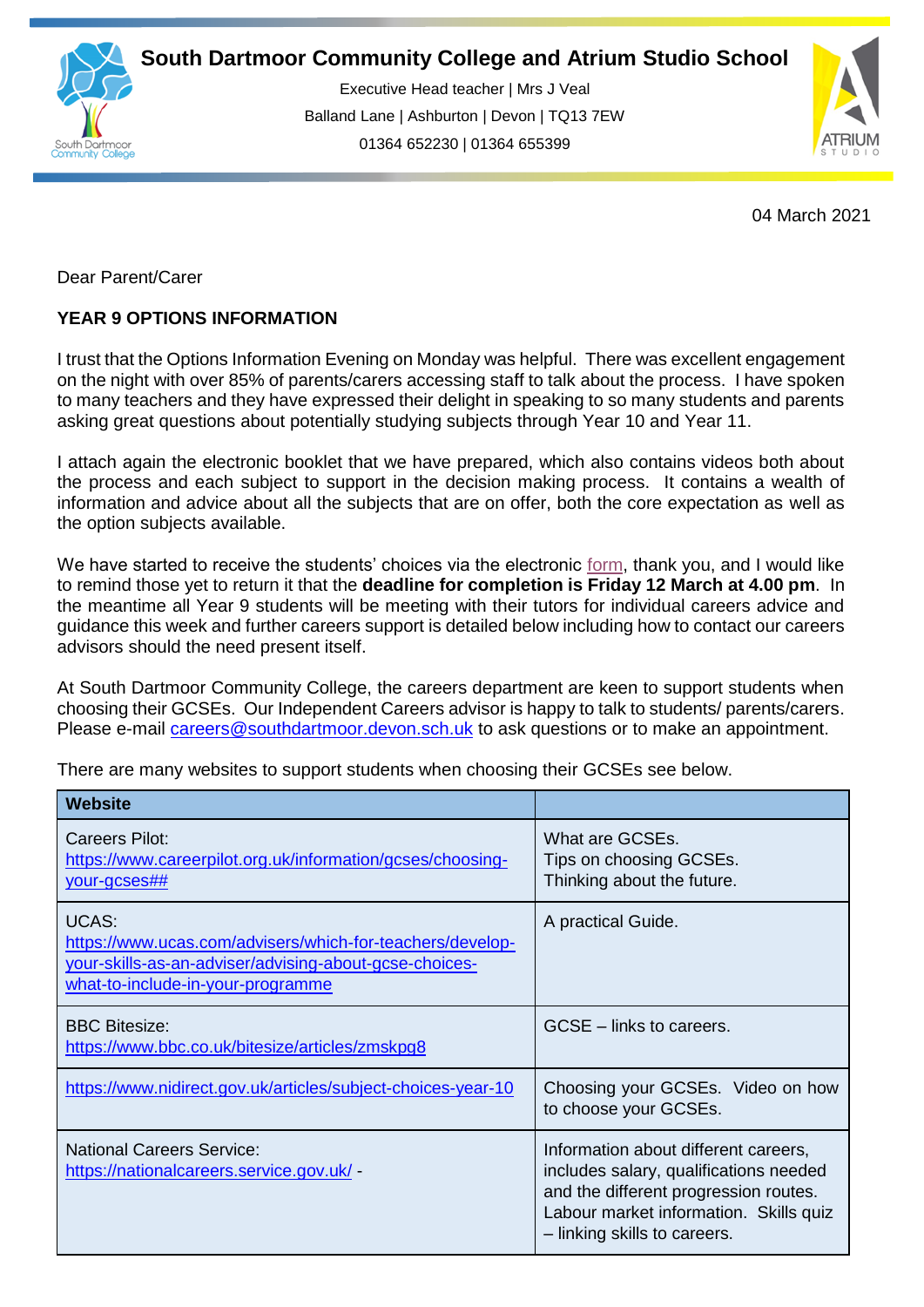

Executive Head teacher | Mrs J Veal Balland Lane | Ashburton | Devon | TQ13 7EW 01364 652230 | 01364 655399

ww.south.co.uk | [www.atrium-studio.co.uk](http://www.atrium-studio.co.uk/) | www.atrium-studio.co.uk



04 March 2021

Dear Parent/Carer

## **YEAR 9 OPTIONS INFORMATION**

I trust that the Options Information Evening on Monday was helpful. There was excellent engagement on the night with over 85% of parents/carers accessing staff to talk about the process. I have spoken to many teachers and they have expressed their delight in speaking to so many students and parents asking great questions about potentially studying subjects through Year 10 and Year 11.

I attach again the electronic booklet that we have prepared, which also contains videos both about the process and each subject to support in the decision making process. It contains a wealth of information and advice about all the subjects that are on offer, both the core expectation as well as the option subjects available.

We have started to receive the students' choices via the electronic [form,](https://forms.office.com/Pages/ResponsePage.aspx?id=Yeyemmb7BU6cR6U6z4zv4hAOtBsE44BDvoKx4fpzZ_FUMUoxRkhVNlIwTUs5OE5BREdTSVBOTDU2TC4u) thank you, and I would like to remind those yet to return it that the **deadline for completion is Friday 12 March at 4.00 pm**. In the meantime all Year 9 students will be meeting with their tutors for individual careers advice and guidance this week and further careers support is detailed below including how to contact our careers advisors should the need present itself.

At South Dartmoor Community College, the careers department are keen to support students when choosing their GCSEs. Our Independent Careers advisor is happy to talk to students/ parents/carers. Please e-mail [careers@southdartmoor.devon.sch.uk](about:blank) to ask questions or to make an appointment.

There are many websites to support students when choosing their GCSEs see below.

| <b>Website</b>                                                                                                                                                           |                                                                                                                                                                                                   |
|--------------------------------------------------------------------------------------------------------------------------------------------------------------------------|---------------------------------------------------------------------------------------------------------------------------------------------------------------------------------------------------|
| <b>Careers Pilot:</b><br>https://www.careerpilot.org.uk/information/gcses/choosing-<br>your-gcses##                                                                      | What are GCSEs.<br>Tips on choosing GCSEs.<br>Thinking about the future.                                                                                                                          |
| <b>UCAS:</b><br>https://www.ucas.com/advisers/which-for-teachers/develop-<br>your-skills-as-an-adviser/advising-about-gcse-choices-<br>what-to-include-in-your-programme | A practical Guide.                                                                                                                                                                                |
| <b>BBC Bitesize:</b><br>https://www.bbc.co.uk/bitesize/articles/zmskpg8                                                                                                  | GCSE – links to careers.                                                                                                                                                                          |
| https://www.nidirect.gov.uk/articles/subject-choices-year-10                                                                                                             | Choosing your GCSEs. Video on how<br>to choose your GCSEs.                                                                                                                                        |
| <b>National Careers Service:</b><br>https://nationalcareers.service.gov.uk/ -                                                                                            | Information about different careers,<br>includes salary, qualifications needed<br>and the different progression routes.<br>Labour market information. Skills quiz<br>- linking skills to careers. |